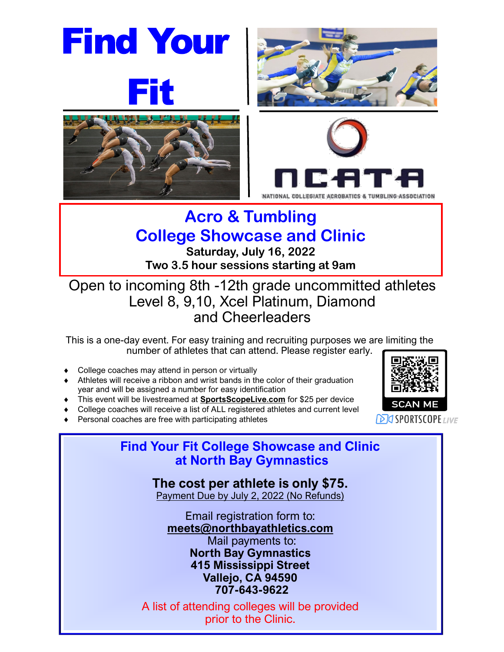









## **Acro & Tumbling College Showcase and Clinic**

**Saturday, July 16, 2022 Two 3.5 hour sessions starting at 9am**

Open to incoming 8th -12th grade uncommitted athletes Level 8, 9,10, Xcel Platinum, Diamond and Cheerleaders

This is a one-day event. For easy training and recruiting purposes we are limiting the number of athletes that can attend. Please register early.

- College coaches may attend in person or virtually
- Athletes will receive a ribbon and wrist bands in the color of their graduation year and will be assigned a number for easy identification
- This event will be livestreamed at **SportsScopeLive**.**com** for \$25 per device
- College coaches will receive a list of ALL registered athletes and current level
- Personal coaches are free with participating athletes



**DIG SPORTSCOPE**LIVE

**Find Your Fit College Showcase and Clinic at North Bay Gymnastics**

> **The cost per athlete is only \$75.** Payment Due by July 2, 2022 (No Refunds)

Email registration form to: **meets@northbayathletics.com** Mail payments to: **North Bay Gymnastics 415 Mississippi Street Vallejo, CA 94590 707-643-9622** 

A list of attending colleges will be provided prior to the Clinic.